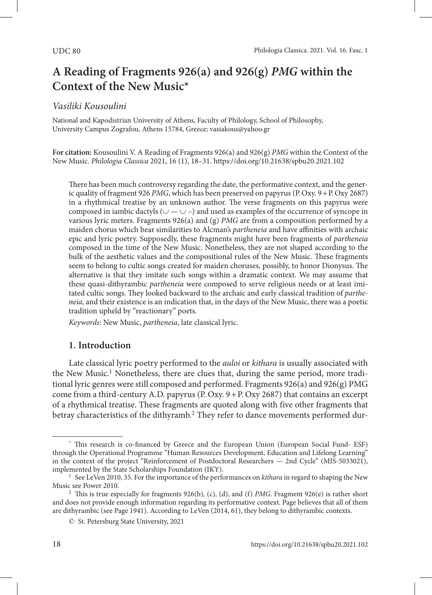# **A Reading of Fragments 926(a) and 926(g)** *PMG* **within the Context of the New Music\***

## *Vasiliki Kousoulini*

National and Kapodistrian University of Athens, Faculty of Philology, School of Philosophy, University Campus Zografou, Athens 15784, Greece; vasiakous@yahoo.gr

**For citation:** Kousoulini V. A Reading of Fragments 926(a) and 926(g) *PMG* within the Context of the New Music. *Philologia Classica* 2021, 16 (1), 18–31.<https://doi.org/10.21638/spbu20.2021.102>

There has been much controversy regarding the date, the performative context, and the generic quality of fragment 926 *PMG*, which has been preserved on papyrus (P.Oxy. 9+P.Oxy 2687) in a rhythmical treatise by an unknown author. The verse fragments on this papyrus were composed in iambic dactyls ( $\cup$  —  $\cup$  –) and used as examples of the occurrence of syncope in various lyric meters. Fragments 926(a) and (g) *PMG* are from a composition performed by a maiden chorus which bear similarities to Alcman's *partheneia* and have affinities with archaic epic and lyric poetry. Supposedly, these fragments might have been fragments of *partheneia* composed in the time of the New Music. Nonetheless, they are not shaped according to the bulk of the aesthetic values and the compositional rules of the New Music. These fragments seem to belong to cultic songs created for maiden choruses, possibly, to honor Dionysus. The alternative is that they imitate such songs within a dramatic context. We may assume that these quasi-dithyrambic *partheneia* were composed to serve religious needs or at least imitated cultic songs. They looked backward to the archaic and early classical tradition of *partheneia*, and their existence is an indication that, in the days of the New Music, there was a poetic tradition upheld by "reactionary" poets.

*Keywords*: New Music, *partheneia*, late classical lyric.

## **1. Introduction**

Late classical lyric poetry performed to the *auloi* or *kithara* is usually associated with the New Music.<sup>1</sup> Nonetheless, there are clues that, during the same period, more traditional lyric genres were still composed and performed. Fragments  $926(a)$  and  $926(g)$  PMG come from a third-century A.D. papyrus  $(P. Oxy. 9 + P. Oxy 2687)$  that contains an excerpt of a rhythmical treatise. These fragments are quoted along with five other fragments that betray characteristics of the dithyramb.<sup>2</sup> They refer to dance movements performed dur-

<sup>\*</sup> This research is co-financed by Greece and the European Union (European Social Fund- ESF) through the Operational Programme "Human Resources Development, Education and Lifelong Learning" in the context of the project "Reinforcement of Postdoctoral Researchers — 2nd Cycle" (MIS-5033021), implemented by the State Scholarships Foundation (ΙΚΥ).

<sup>1</sup> See LeVen 2010, 35. For the importance of the performances on *kithara* in regard to shaping the New Music see Power 2010.

<sup>2</sup> This is true especially for fragments 926(b), (c), (d), and (f) *PMG*. Fragment 926(e) is rather short and does not provide enough information regarding its performative context. Page believes that all of them are dithyrambic (see Page 1941). According to LeVen (2014, 61), they belong to dithyrambic contexts.

<sup>©</sup> St. Petersburg State University, 2021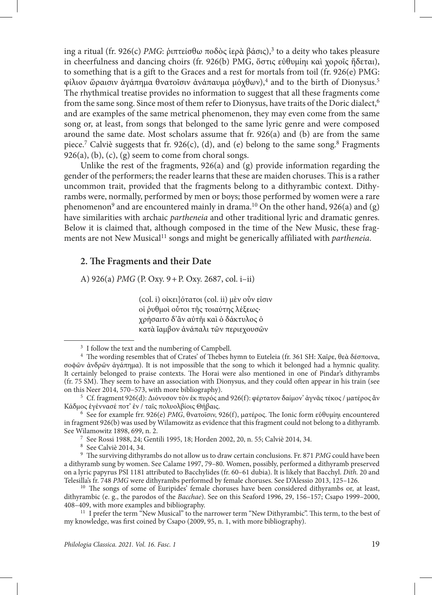ing a ritual (fr. 926(c) *PMG*: ῥιπτείσθω ποδὸς ἱερὰ βάσις),<sup>3</sup> to a deity who takes pleasure in cheerfulness and dancing choirs (fr. 926(b) PMG, ὅστις εὐθυμίηι καὶ χοροῖς ἥδεται), to something that is a gift to the Graces and a rest for mortals from toil (fr. 926(e) PMG: φίλιον ὥραισιν ἀγάπημα θνατοῖσιν ἀνάπαυμα μόχθων),<sup>4</sup> and to the birth of Dionysus.<sup>5</sup> The rhythmical treatise provides no information to suggest that all these fragments come from the same song. Since most of them refer to Dionysus, have traits of the Doric dialect,<sup>6</sup> and are examples of the same metrical phenomenon, they may even come from the same song or, at least, from songs that belonged to the same lyric genre and were composed around the same date. Most scholars assume that fr. 926(a) and (b) are from the same piece.<sup>7</sup> Calviè suggests that fr. 926(c), (d), and (e) belong to the same song.<sup>8</sup> Fragments  $926(a)$ , (b), (c), (g) seem to come from choral songs.

Unlike the rest of the fragments, 926(a) and (g) provide information regarding the gender of the performers; the reader learns that these are maiden choruses. This is a rather uncommon trait, provided that the fragments belong to a dithyrambic context. Dithyrambs were, normally, performed by men or boys; those performed by women were a rare phenomenon<sup>9</sup> and are encountered mainly in drama.<sup>10</sup> On the other hand, 926(a) and (g) have similarities with archaic *partheneia* and other traditional lyric and dramatic genres. Below it is claimed that, although composed in the time of the New Music, these fragments are not New Musical<sup>11</sup> songs and might be generically affiliated with *partheneia*.

#### **2. The Fragments and their Date**

A) 926(a) *PMG* (P. Oxy. 9+P. Oxy. 2687, col. i–ii)

(col. i) οἰκει]ότατοι (col. ii) μὲν οὖν εἰσιν οἱ ῥυθμοὶ οὗτοι τῆς τοιαύτης λέξεως· χρήσαιτο δ'ἂν αὐτῆι καὶ ὁ δάκτυλος ὁ κατὰ ἴαμβον ἀνάπαλι τῶν περιεχουσῶν

 $^7\,$  See Rossi 1988, 24; Gentili 1995, 18; Horden 2002, 20, n. 55; Calviè 2014, 34.  $^8\,$  See Calviè 2014, 34.

<sup>9</sup> The surviving dithyrambs do not allow us to draw certain conclusions. Fr. 871 *PMG* could have been a dithyramb sung by women. See Calame 1997, 79–80. Women, possibly, performed a dithyramb preserved on a lyric papyrus PSI 1181 attributed to Bacchylides (fr. 60–61 dubia). It is likely that Bacchyl. *Dith.* 20 and Telesilla's fr. 748 *PMG* were dithyrambs performed by female choruses. See D'Alessio 2013, 125–126.

<sup>3</sup> I follow the text and the numbering of Campbell. 4 The wording resembles that of Crates' of Thebes hymn to Euteleia (fr. 361 SH: Χαῖρε, θεὰ δέσποινα, σοϕῶν ἀνδρῶν ἀγάπημα). It is not impossible that the song to which it belonged had a hymnic quality. It certainly belonged to praise contexts. The Horai were also mentioned in one of Pindar's dithyrambs (fr. 75 SM). They seem to have an association with Dionysus, and they could often appear in his train (see on this Neer 2014, 570–573, with more bibliography).

<sup>&</sup>lt;sup>5</sup> Cf. fragment 926(d): Διόνυσον τὸν ἐκ πυρός and 926(f): φέρτατον δαίμον' ἀγνᾶς τέκος / ματέρος ἂν Κάδμος ἐγέννασέ ποτ' ἐν / ταῖς πολυολβίοις Θήβαις.

<sup>6</sup> See for example frr. 926(e) *PMG*, θνατοῖσιν, 926(f), ματέρος. The Ionic form εὐθυμίηι encountered in fragment 926(b) was used by Wilamowitz as evidence that this fragment could not belong to a dithyramb. See Wilamowitz 1898, 699, n. 2.

<sup>&</sup>lt;sup>10</sup> The songs of some of Euripides' female choruses have been considered dithyrambs or, at least, dithyrambic (e. g., the parodos of the *Bacchae*). See on this Seaford 1996, 29, 156–157; Csapo 1999–2000, 408–409, with more examples and bibliography.

<sup>&</sup>lt;sup>11</sup> I prefer the term "New Musical" to the narrower term "New Dithyrambic". This term, to the best of my knowledge, was first coined by Csapo (2009, 95, n. 1, with more bibliography).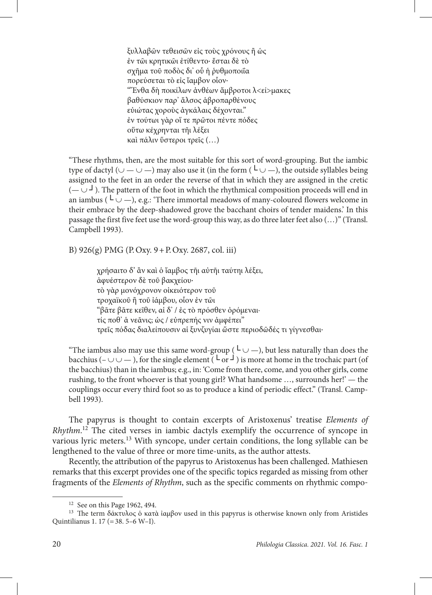ξυλλαβῶν τεθεισῶν εἰς τοὺς χρόνους ἢ ὡς ἐν τῶι κρητικῶι ἐτίθεντο· ἔσται δὲ τὸ σχῆμα τοῦ ποδὸς δι' οὗ ἡ ῥυθμοποιΐα πορεύσεται τὸ εἰς ἴαμβον οἷον· " Ἔνθα δὴ ποικίλων ἀνθέων ἄμβροτοι λ<εί>μακες βαθύσκιον παρ' ἄλσος ἁβροπαρθένους εὐιώτας χοροὺς ἀγκάλαις δέχονται." ἐν τούτωι γὰρ οἵ τε πρῶτοι πέντε πόδες οὕτω κέχρηνται τῆι λέξει καὶ πάλιν ὕστεροι τρεῖς (…)

"These rhythms, then, are the most suitable for this sort of word-grouping. But the iambic type of dactyl ( $\cup$  —  $\cup$  —) may also use it (in the form ( $\cup$   $\cup$  —), the outside syllables being assigned to the feet in an order the reverse of that in which they are assigned in the cretic (— ∪ *┘*). The pattern of the foot in which the rhythmical composition proceeds will end in an iambus ( $\iota \cup$ ), e.g.: 'There immortal meadows of many-coloured flowers welcome in their embrace by the deep-shadowed grove the bacchant choirs of tender maidens.' In this passage the first five feet use the word-group this way, as do three later feet also (…)" (Transl. Campbell 1993).

B) 926(g) PMG (P.Oxy. 9+P.Oxy. 2687, col. iii)

χρήσαιτο δ' ἂν καὶ ὁ ἴαμβος τῆι αὐτῆι ταύτηι λέξει, ἀφυέστερον δὲ τοῦ βακχείου· τὸ γὰρ μονόχρονον οἰκειότερον τοῦ τροχαϊκοῦ ἢ τοῦ ἰάμβου, οἷον ἐν τῶι "βᾶτε βᾶτε κεῖθεν, αἱ δ' / ἐς τὸ πρόσθεν ὀρόμεναι∙ τίς ποθ' ἁ νεᾶνις; ὡς / εὐπρεπής νιν ἀμφέπει" τρεῖς πόδας διαλείπουσιν αἱ ξυνζυγίαι ὥστε περιοδῶδές τι γίγνεσθαι·

"The iambus also may use this same word-group ( $\iota \cup$ ), but less naturally than does the bacchius (– ∪ ∪ − ), for the single element ( $\lfloor \frac{L_{\text{or}}}{L_{\text{or}}} \rfloor$ ) is more at home in the trochaic part (of the bacchius) than in the iambus; e.g., in: 'Come from there, come, and you other girls, come rushing, to the front whoever is that young girl? What handsome …, surrounds her!' — the couplings occur every third foot so as to produce a kind of periodic effect." (Transl. Campbell 1993).

The papyrus is thought to contain excerpts of Aristoxenus' treatise *Elements of Rhythm*. 12 The cited verses in iambic dactyls exemplify the occurrence of syncope in various lyric meters.13 With syncope, under certain conditions, the long syllable can be lengthened to the value of three or more time-units, as the author attests.

Recently, the attribution of the papyrus to Aristoxenus has been challenged. Mathiesen remarks that this excerpt provides one of the specific topics regarded as missing from other fragments of the *Elements of Rhythm*, such as the specific comments on rhythmic compo-

<sup>12</sup> See on this Page 1962, 494.

<sup>&</sup>lt;sup>13</sup> The term δάκτυλος ὁ κατὰ ἰαμβον used in this papyrus is otherwise known only from Aristides Quintilianus 1. 17 (=38. 5–6 W–I).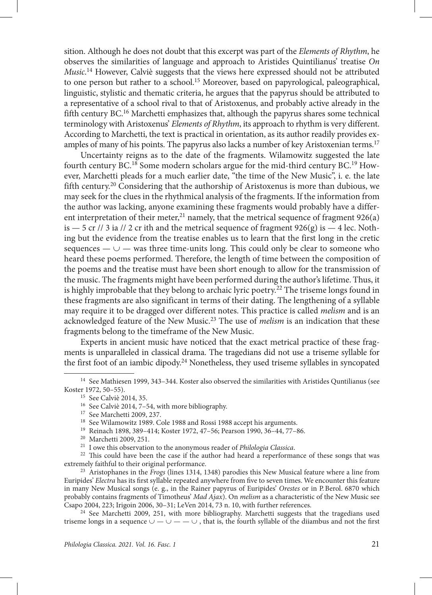sition. Although he does not doubt that this excerpt was part of the *Elements of Rhythm*, he observes the similarities of language and approach to Aristides Quintilianus' treatise *On Music*. 14 However, Calviè suggests that the views here expressed should not be attributed to one person but rather to a school.<sup>15</sup> Moreover, based on papyrological, paleographical, linguistic, stylistic and thematic criteria, he argues that the papyrus should be attributed to a representative of a school rival to that of Aristoxenus, and probably active already in the fifth century BC.16 Marchetti emphasizes that, although the papyrus shares some technical terminology with Aristoxenus' *Elements of Rhythm*, its approach to rhythm is very different. According to Marchetti, the text is practical in orientation, as its author readily provides examples of many of his points. The papyrus also lacks a number of key Aristoxenian terms.<sup>17</sup>

Uncertainty reigns as to the date of the fragments. Wilamowitz suggested the late fourth century BC.18 Some modern scholars argue for the mid-third century BC.19 However, Marchetti pleads for a much earlier date, "the time of the New Music", i. e. the late fifth century.<sup>20</sup> Considering that the authorship of Aristoxenus is more than dubious, we may seek for the clues in the rhythmical analysis of the fragments. If the information from the author was lacking, anyone examining these fragments would probably have a different interpretation of their meter, $21$  namely, that the metrical sequence of fragment 926(a) is  $-5$  cr // 3 ia // 2 cr ith and the metrical sequence of fragment 926(g) is  $-4$  lec. Nothing but the evidence from the treatise enables us to learn that the first long in the cretic sequences —  $\cup$  — was three time-units long. This could only be clear to someone who heard these poems performed. Therefore, the length of time between the composition of the poems and the treatise must have been short enough to allow for the transmission of the music. The fragments might have been performed during the author's lifetime. Thus, it is highly improbable that they belong to archaic lyric poetry.<sup>22</sup> The triseme longs found in these fragments are also significant in terms of their dating. The lengthening of a syllable may require it to be dragged over different notes. This practice is called *melism* and is an acknowledged feature of the New Music.23 The use of *melism* is an indication that these fragments belong to the timeframe of the New Music.

Experts in ancient music have noticed that the exact metrical practice of these fragments is unparalleled in classical drama. The tragedians did not use a triseme syllable for the first foot of an iambic dipody.24 Nonetheless, they used triseme syllables in syncopated

<sup>20</sup> Marchetti 2009, 251.

Euripides' *Electra* has its first syllable repeated anywhere from five to seven times. We encounter this feature in many New Musical songs (e. g., in the Rainer papyrus of Euripides' *Orestes* or in P.Berol. 6870 which probably contains fragments of Timotheus' *Mad Ajax*). On *melism* as a characteristic of the New Music see Csapo 2004, 223; Irigoin 2006, 30–31; LeVen 2014, 73 n. 10, with further references.

<sup>24</sup> See Marchetti 2009, 251, with more bibliography. Marchetti suggests that the tragedians used triseme longs in a sequence  $\cup$  —  $\cup$  —  $\cup$ , that is, the fourth syllable of the diiambus and not the first

<sup>14</sup> See Mathiesen 1999, 343–344. Koster also observed the similarities with Aristides Quntilianus (see Koster 1972, 50–55).

<sup>15</sup> See Calviè 2014, 35.

<sup>16</sup> See Calviè 2014, 7–54, with more bibliography.

<sup>17</sup> See Marchetti 2009, 237.

<sup>18</sup> See Wilamowitz 1989. Cole 1988 and Rossi 1988 accept his arguments.

<sup>19</sup> Reinach 1898, 389–414; Koster 1972, 47–56; Pearson 1990, 36–44, 77–86.

<sup>21</sup> I owe this observation to the anonymous reader of *Philologia Classica*.

<sup>&</sup>lt;sup>22</sup> This could have been the case if the author had heard a reperformance of these songs that was extremely faithful to their original performance. 23 Aristophanes in the *Frogs* (lines 1314, 1348) parodies this New Musical feature where a line from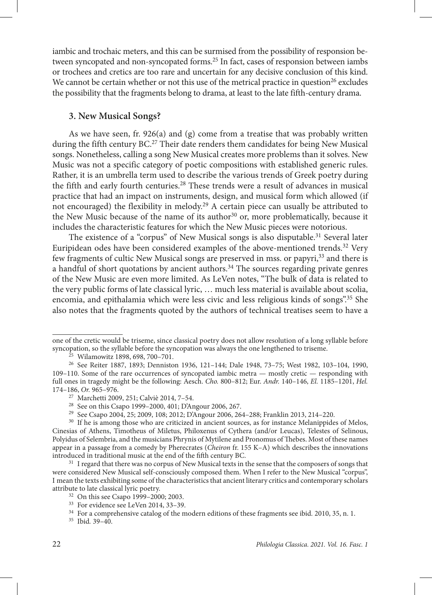iambic and trochaic meters, and this can be surmised from the possibility of responsion between syncopated and non-syncopated forms.25 In fact, cases of responsion between iambs or trochees and cretics are too rare and uncertain for any decisive conclusion of this kind. We cannot be certain whether or not this use of the metrical practice in question<sup>26</sup> excludes the possibility that the fragments belong to drama, at least to the late fifth-century drama.

#### **3. New Musical Songs?**

As we have seen, fr. 926(a) and (g) come from a treatise that was probably written during the fifth century BC.27 Their date renders them candidates for being New Musical songs. Nonetheless, calling a song New Musical creates more problems than it solves. New Music was not a specific category of poetic compositions with established generic rules. Rather, it is an umbrella term used to describe the various trends of Greek poetry during the fifth and early fourth centuries.<sup>28</sup> These trends were a result of advances in musical practice that had an impact on instruments, design, and musical form which allowed (if not encouraged) the flexibility in melody.29 A certain piece can usually be attributed to the New Music because of the name of its author<sup>30</sup> or, more problematically, because it includes the characteristic features for which the New Music pieces were notorious.

The existence of a "corpus" of New Musical songs is also disputable.<sup>31</sup> Several later Euripidean odes have been considered examples of the above-mentioned trends.32 Very few fragments of cultic New Musical songs are preserved in mss. or papyri,33 and there is a handful of short quotations by ancient authors.34 The sources regarding private genres of the New Music are even more limited. As LeVen notes, "The bulk of data is related to the very public forms of late classical lyric, … much less material is available about scolia, encomia, and epithalamia which were less civic and less religious kinds of songs".35 She also notes that the fragments quoted by the authors of technical treatises seem to have a

one of the cretic would be triseme, since classical poetry does not allow resolution of a long syllable before syncopation, so the syllable before the syncopation was always the one lengthened to triseme.

<sup>25</sup> Wilamowitz 1898, 698, 700–701.

<sup>26</sup> See Reiter 1887, 1893; Denniston 1936, 121–144; Dale 1948, 73–75; West 1982, 103–104, 1990, 109–110. Some of the rare occurrences of syncopated iambic metra — mostly cretic — responding with full ones in tragedy might be the following: Aesch. *Cho.* 800–812; Eur. *Andr.* 140–146, *El.* 1185–1201, *Hel.*

<sup>&</sup>lt;sup>27</sup> Marchetti 2009, 251; Calviè 2014, 7-54.

<sup>&</sup>lt;sup>28</sup> See on this Csapo 1999–2000, 401; D'Angour 2006, 267.<br><sup>29</sup> See Csapo 2004, 25; 2009, 108; 2012; D'Angour 2006, 264–288; Franklin 2013, 214–220.

<sup>&</sup>lt;sup>30</sup> If he is among those who are criticized in ancient sources, as for instance Melanippides of Melos, Cinesias of Athens, Timotheus of Miletus, Philoxenus of Cythera (and/or Leucas), Telestes of Selinous, Polyidus of Selembria, and the musicians Phrynis of Mytilene and Pronomus of Thebes. Most of these names appear in a passage from a comedy by Pherecrates (*Cheiron* fr. 155 K–A) which describes the innovations introduced in traditional music at the end of the fifth century BC.

<sup>&</sup>lt;sup>31</sup> I regard that there was no corpus of New Musical texts in the sense that the composers of songs that were considered New Musical self-consciously composed them. When I refer to the New Musical "corpus", I mean the texts exhibiting some of the characteristics that ancient literary critics and contemporary scholars attribute to late classical lyric poetry.

<sup>32</sup> On this see Csapo 1999–2000; 2003.

<sup>33</sup> For evidence see LeVen 2014, 33–39.

<sup>34</sup> For a comprehensive catalog of the modern editions of these fragments see ibid*.* 2010, 35, n. 1. <sup>35</sup> Ibid*.* 39–40.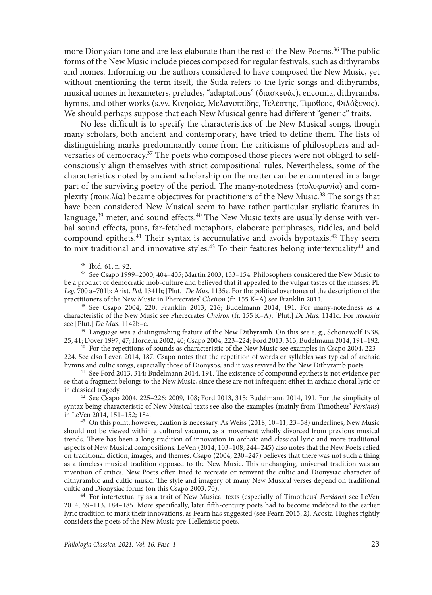more Dionysian tone and are less elaborate than the rest of the New Poems.<sup>36</sup> The public forms of the New Music include pieces composed for regular festivals, such as dithyrambs and nomes*.* Informing on the authors considered to have composed the New Music, yet without mentioning the term itself, the Suda refers to the lyric songs and dithyrambs, musical nomes in hexameters, preludes, "adaptations" (διασκευάς), encomia, dithyrambs, hymns, and other works (s.vv. Κινησίας, Μελανιππίδης, Τελέστης, Τιμόθεος, Φιλόξενος). We should perhaps suppose that each New Musical genre had different "generic" traits.

No less difficult is to specify the characteristics of the New Musical songs, though many scholars, both ancient and contemporary, have tried to define them. The lists of distinguishing marks predominantly come from the criticisms of philosophers and adversaries of democracy.<sup>37</sup> The poets who composed those pieces were not obliged to selfconsciously align themselves with strict compositional rules. Nevertheless, some of the characteristics noted by ancient scholarship on the matter can be encountered in a large part of the surviving poetry of the period. The many-notedness (πολυφωνία) and complexity (ποικιλία) became objectives for practitioners of the New Music.<sup>38</sup> The songs that have been considered New Musical seem to have rather particular stylistic features in language,<sup>39</sup> meter, and sound effects.<sup>40</sup> The New Music texts are usually dense with verbal sound effects, puns, far-fetched metaphors, elaborate periphrases, riddles, and bold compound epithets.<sup>41</sup> Their syntax is accumulative and avoids hypotaxis.<sup>42</sup> They seem to mix traditional and innovative styles.<sup>43</sup> To their features belong intertextuality<sup>44</sup> and

<sup>37</sup> See Csapo 1999–2000, 404–405; Martin 2003, 153–154. Philosophers considered the New Music to be a product of democratic mob-culture and believed that it appealed to the vulgar tastes of the masses: Pl. *Leg.* 700 a–701b; Arist. *Pol.* 1341b; [Plut.] *De Mus.* 1135e. For the political overtones of the description of the practitioners of the New Music in Pherecrates' *Cheiron* (fr. 155 K–A) see Franklin 2013.

<sup>38</sup> See Csapo 2004, 220; Franklin 2013, 216; Budelmann 2014, 191. For many-notedness as a characteristic of the New Music see Pherecrates *Cheiron* (fr. 155 K–A); [Plut.] *De Mus.* 1141d. For *ποικιλία* see [Plut.] *De Mus.* 1142b–c.

<sup>39</sup> Language was a distinguishing feature of the New Dithyramb. On this see e. g., Schönewolf 1938, 25, 41; Dover 1997, 47; Hordern 2002, 40; Csapo 2004, 223–224; Ford 2013, 313; Budelmann 2014, 191–192. 40 For the repetitions of sounds as characteristic of the New Music see examples in Csapo 2004, 223–

224. See also Leven 2014, 187. Csapo notes that the repetition of words or syllables was typical of archaic hymns and cultic songs, especially those of Dionysos, and it was revived by the New Dithyramb poets.

<sup>41</sup> See Ford 2013, 314; Budelmann 2014, 191. The existence of compound epithets is not evidence per se that a fragment belongs to the New Music, since these are not infrequent either in archaic choral lyric or in classical tragedy.

<sup>42</sup> See Csapo 2004, 225–226; 2009, 108; Ford 2013, 315; Budelmann 2014, 191. For the simplicity of syntax being characteristic of New Musical texts see also the examples (mainly from Timotheus' *Persians*) in LeVen 2014, 151–152; 184.  $^{43}$  On this point, however, caution is necessary. As Weiss (2018, 10–11, 23–58) underlines, New Music

should not be viewed within a cultural vacuum, as a movement wholly divorced from previous musical trends. There has been a long tradition of innovation in archaic and classical lyric and more traditional aspects of New Musical compositions. LeVen (2014, 103–108, 244–245) also notes that the New Poets relied on traditional diction, images, and themes. Csapo (2004, 230–247) believes that there was not such a thing as a timeless musical tradition opposed to the New Music. This unchanging, universal tradition was an invention of critics. New Poets often tried to recreate or reinvent the cultic and Dionysiac character of dithyrambic and cultic music. The style and imagery of many New Musical verses depend on traditional cultic and Dionysiac forms (on this Csapo 2003, 70).

<sup>44</sup> For intertextuality as a trait of New Musical texts (especially of Timotheus' *Persians*) see LeVen 2014, 69–113, 184–185. More specifically, later fifth-century poets had to become indebted to the earlier lyric tradition to mark their innovations, as Fearn has suggested (see Fearn 2015, 2). Acosta-Hughes rightly considers the poets of the New Music pre-Hellenistic poets.

<sup>36</sup> Ibid. 61, n. 92.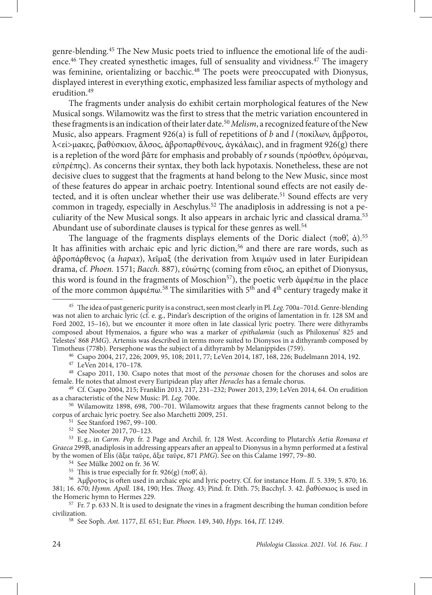genre-blending.45 The New Music poets tried to influence the emotional life of the audience.<sup>46</sup> They created synesthetic images, full of sensuality and vividness.<sup>47</sup> The imagery was feminine, orientalizing or bacchic.<sup>48</sup> The poets were preoccupated with Dionysus, displayed interest in everything exotic, emphasized less familiar aspects of mythology and erudition.49

The fragments under analysis do exhibit certain morphological features of the New Musical songs. Wilamowitz was the first to stress that the metric variation encountered in these fragments is an indication of their later date.50*Melism*, a recognized feature of the New Music, also appears. Fragment 926(a) is full of repetitions of *b* and *l* (ποκίλων, ἄμβροτοι,  $\lambda \leq \epsilon$ ί>μακες, βαθύσκιον, ἄλσος, άβροπαρθένους, ἀγκάλαις), and in fragment 926(g) there is a repletion of the word βᾶτε for emphasis and probably of *r* sounds (πρόσθεν, ὀρόμεναι, εὐπρέπης). As concerns their syntax, they both lack hypotaxis. Nonetheless, these are not decisive clues to suggest that the fragments at hand belong to the New Music, since most of these features do appear in archaic poetry. Intentional sound effects are not easily detected, and it is often unclear whether their use was deliberate.<sup>51</sup> Sound effects are very common in tragedy, especially in Aeschylus.<sup>52</sup> The anadiplosis in addressing is not a peculiarity of the New Musical songs. It also appears in archaic lyric and classical drama.53 Abundant use of subordinate clauses is typical for these genres as well.<sup>54</sup>

The language of the fragments displays elements of the Doric dialect  $(\pi 0\theta, \dot{\alpha})$ .<sup>55</sup> It has affinities with archaic epic and lyric diction,<sup>56</sup> and there are rare words, such as ἁβροπάρθενος (a *hapax*), λεῖμαξ (the derivation from λειμών used in later Euripidean drama, cf. *Phoen.* 1571; *Bacch.* 887), εὐιώτης (coming from εὔιος, an epithet of Dionysus, this word is found in the fragments of Moschion<sup>57</sup>), the poetic verb ἀμφέπω in the place of the more common ἀμφιέπω.<sup>58</sup> The similarities with 5<sup>th</sup> and 4<sup>th</sup> century tragedy make it

<sup>46</sup> Csapo 2004, 217, 226; 2009, 95, 108; 2011, 77; LeVen 2014, 187, 168, 226; Budelmann 2014, 192.<br><sup>47</sup> LeVen 2014, 170–178.

<sup>48</sup> Csapo 2011, 130. Csapo notes that most of the *personae* chosen for the choruses and solos are female. He notes that almost every Euripidean play after *Heracles* has a female chorus.

<sup>49</sup> Cf. Csapo 2004, 215; Franklin 2013, 217, 231–232; Power 2013, 239; LeVen 2014, 64. On erudition as a characteristic of the New Music: Pl. *Leg.* 700e.

<sup>50</sup> Wilamowitz 1898, 698, 700–701. Wilamowitz argues that these fragments cannot belong to the corpus of archaic lyric poetry. See also Marchetti 2009, 251. 51 See Stanford 1967, 99–100.

- 
- <sup>52</sup> See Nooter 2017, 70–123.

<sup>53</sup> E. g., in *Carm. Pop.* fr. 2 Page and Archil. fr. 128 West. According to Plutarch's *Aetia Romana et Graeca* 299B, anadiplosis in addressing appears after an appeal to Dionysus in a hymn performed at a festival by the women of Elis (ἄξιε ταῦρε, ἄξιε ταῦρε, 871 *PMG*). See on this Calame 1997, 79–80.

 $57$  Fr. 7 p. 633 N. It is used to designate the vines in a fragment describing the human condition before civilization.

<sup>58</sup> See Soph. *Ant.* 1177, *El.* 651; Eur. *Phoen.* 149, 340, *Hyps.* 164, *IT.* 1249.

<sup>45</sup> The idea of past generic purity is a construct, seen most clearly in Pl. *Leg.* 700a–701d. Genre-blending was not alien to archaic lyric (cf. e. g., Pindar's description of the origins of lamentation in fr. 128 SM and Ford 2002, 15–16), but we encounter it more often in late classical lyric poetry. There were dithyrambs composed about Hymenaios, a figure who was a marker of *epithalamia* (such as Philoxenus' 825 and Telestes' 868 *PMG*). Artemis was described in terms more suited to Dionysos in a dithyramb composed by Timotheus (778b). Persephone was the subject of a dithyramb by Melanippides (759).

<sup>&</sup>lt;sup>54</sup> See Mülke 2002 on fr. 36 W.<br><sup>55</sup> This is true especially for fr. 926(g) (πoθ', ά).

<sup>&</sup>lt;sup>56</sup> Άμβροτος is often used in archaic epic and lyric poetry. Cf. for instance Hom. *Il.* 5. 339; 5. 870; 16. 381; 16. 670; *Hymn. Apoll.* 184, 190; Hes. *Theog*. 43; Pind. fr. Dith. 75; Bacchyl. 3. 42. βαθύσκιος is used in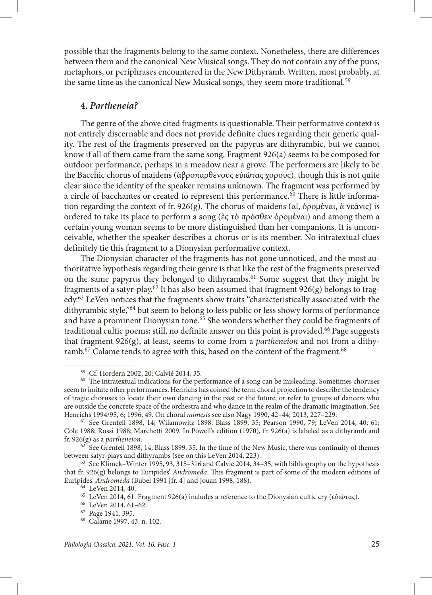possible that the fragments belong to the same context. Nonetheless, there are differences between them and the canonical New Musical songs. They do not contain any of the puns, metaphors, or periphrases encountered in the New Dithyramb. Written, most probably, at the same time as the canonical New Musical songs, they seem more traditional.<sup>59</sup>

### **4.** *Partheneia?*

The genre of the above cited fragments is questionable. Their performative context is not entirely discernable and does not provide definite clues regarding their generic quality. The rest of the fragments preserved on the papyrus are dithyrambic, but we cannot know if all of them came from the same song. Fragment 926(a) seems to be composed for outdoor performance, perhaps in a meadow near a grove. The performers are likely to be the Bacchic chorus of maidens (ἁβροπαρθένους εὐιώτας χορούς), though this is not quite clear since the identity of the speaker remains unknown. The fragment was performed by a circle of bacchantes or created to represent this performance.<sup>60</sup> There is little information regarding the context of fr. 926(g). The chorus of maidens (αἱ, ὀρομέναι, ἁ νεᾶνις) is ordered to take its place to perform a song (ἐς τὸ πρόσθεν ὀρομέναι) and among them a certain young woman seems to be more distinguished than her companions. It is unconceivable, whether the speaker describes a chorus or is its member. No intratextual clues definitely tie this fragment to a Dionysian performative context.

The Dionysian character of the fragments has not gone unnoticed, and the most authoritative hypothesis regarding their genre is that like the rest of the fragments preserved on the same papyrus they belonged to dithyrambs.61 Some suggest that they might be fragments of a satyr-play.62 It has also been assumed that fragment 926(g) belongs to tragedy.63 LeVen notices that the fragments show traits ''characteristically associated with the dithyrambic style,''64 but seem to belong to less public or less showy forms of performance and have a prominent Dionysian tone.<sup>65</sup> She wonders whether they could be fragments of traditional cultic poems; still, no definite answer on this point is provided.<sup>66</sup> Page suggests that fragment 926(g), at least, seems to come from a *partheneion* and not from a dithyramb.<sup>67</sup> Calame tends to agree with this, based on the content of the fragment.<sup>68</sup>

<sup>&</sup>lt;sup>59</sup> Cf. Hordern 2002, 20; Calvié 2014, 35.<br><sup>60</sup> The intratextual indications for the performance of a song can be misleading. Sometimes choruses seem to imitate other performances. Henrichs has coined the term choral projection to describe the tendency of tragic choruses to locate their own dancing in the past or the future, or refer to groups of dancers who are outside the concrete space of the orchestra and who dance in the realm of the dramatic imagination. See Henrichs 1994/95, 6; 1996, 49. On choral mimesis see also Nagy 1990, 42-44; 2013, 227-229.

<sup>&</sup>lt;sup>61</sup> See Grenfell 1898, 14; Wilamowitz 1898; Blass 1899, 35; Pearson 1990, 79; LeVen 2014, 40; 61; Cole 1988; Rossi 1988; Marchetti 2009. In Powell's edition (1970), fr. 926(a) is labeled as a dithyramb and fr. 926(g) as a *partheneion*.

 $62$  See Grenfell 1898, 14; Blass 1899, 35. In the time of the New Music, there was continuity of themes between satyr-plays and dithyrambs (see on this LeVen 2014, 223).

 $63$  See Klimek–Winter 1995, 93, 315–316 and Calvié 2014, 34–35, with bibliography on the hypothesis that fr. 926(g) belongs to Euripides' *Andromeda*. This fragment is part of some of the modern editions of Euripides' *Andromeda* (Bubel 1991 [fr. 4] and Jouan 1998, 188). 64 LeVen 2014, 40.

<sup>&</sup>lt;sup>65</sup> LeVen 2014, 61. Fragment 926(a) includes a reference to the Dionysian cultic cry (εὐιώτας).<br><sup>66</sup> LeVen 2014, 61–62.

<sup>67</sup> Page 1941, 395.

<sup>68</sup> Calame 1997, 43, n. 102.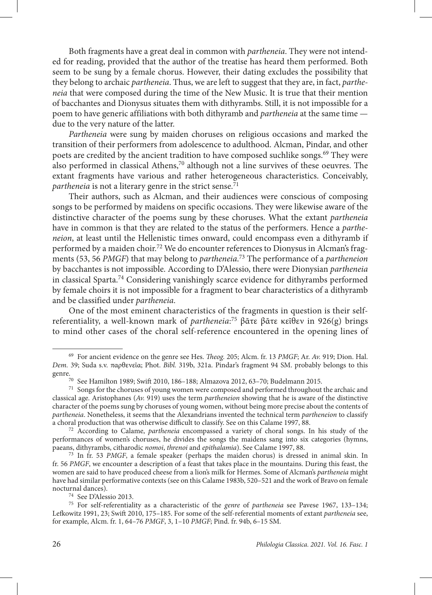Both fragments have a great deal in common with *partheneia*. They were not intended for reading, provided that the author of the treatise has heard them performed. Both seem to be sung by a female chorus. However, their dating excludes the possibility that they belong to archaic *partheneia*. Thus, we are left to suggest that they are, in fact, *partheneia* that were composed during the time of the New Music. It is true that their mention of bacchantes and Dionysus situates them with dithyrambs. Still, it is not impossible for a poem to have generic affiliations with both dithyramb and *partheneia* at the same time due to the very nature of the latter.

*Partheneia* were sung by maiden choruses on religious occasions and marked the transition of their performers from adolescence to adulthood. Alcman, Pindar, and other poets are credited by the ancient tradition to have composed suchlike songs.<sup>69</sup> They were also performed in classical Athens,<sup>70</sup> although not a line survives of these oeuvres. The extant fragments have various and rather heterogeneous characteristics. Conceivably, *partheneia* is not a literary genre in the strict sense.<sup>71</sup>

Their authors, such as Alcman, and their audiences were conscious of composing songs to be performed by maidens on specific occasions. They were likewise aware of the distinctive character of the poems sung by these choruses. What the extant *partheneia* have in common is that they are related to the status of the performers. Hence a *partheneion*, at least until the Hellenistic times onward, could encompass even a dithyramb if performed by a maiden choir.<sup>72</sup> We do encounter references to Dionysus in Alcman's fragments (53, 56 *PMGF*) that may belong to *partheneia*. 73 The performance of a *partheneion* by bacchantes is not impossible. According to D'Alessio, there were Dionysian *partheneia* in classical Sparta.<sup>74</sup> Considering vanishingly scarce evidence for dithyrambs performed by female choirs it is not impossible for a fragment to bear characteristics of a dithyramb and be classified under *partheneia*.

One of the most eminent characteristics of the fragments in question is their selfreferentiality, a well-known mark of *partheneia*: 75 βᾶτε βᾶτε κεῖθεν in 926(g) brings to mind other cases of the choral self-reference encountered in the opening lines of

<sup>69</sup> For ancient evidence on the genre see Hes. *Theog.* 205; Alcm. fr. 13 *PMGF*; Ar. *Av.* 919; Dion. Hal. *Dem.* 39; Suda s.v. παρθενεῖα; Phot. *Bibl.* 319b, 321a. Pindar's fragment 94 SM. probably belongs to this genre.<br><sup>70</sup> See Hamilton 1989; Swift 2010, 186–188; Almazova 2012, 63–70; Budelmann 2015.

<sup>&</sup>lt;sup>71</sup> Songs for the choruses of young women were composed and performed throughout the archaic and classical age. Aristophanes (*Av.* 919) uses the term *partheneion* showing that he is aware of the distinctive character of the poems sung by choruses of young women, without being more precise about the contents of *partheneia*. Nonetheless, it seems that the Alexandrians invented the technical term *partheneion* to classify a choral production that was otherwise difficult to classify. See on this Calame 1997, 88.

<sup>72</sup> According to Calame, *partheneia* encompassed a variety of choral songs. In his study of the performances of women's choruses, he divides the songs the maidens sang into six categories (hymns, paeans, dithyrambs, citharodic *nomoi*, *threnoi* and *epithalamia*). See Calame 1997, 88.

<sup>73</sup> In fr. 53 *PMGF*, a female speaker (perhaps the maiden chorus) is dressed in animal skin. In fr. 56 *PMGF*, we encounter a description of a feast that takes place in the mountains. During this feast, the women are said to have produced cheese from a lion's milk for Hermes. Some of Alcman's *partheneia* might have had similar performative contexts (see on this Calame 1983b, 520–521 and the work of Bravo on female nocturnal dances).

<sup>74</sup> See D'Alessio 2013.

<sup>75</sup> For self-referentiality as a characteristic of the *genre* of *partheneia* see Pavese 1967, 133–134; Lefkowitz 1991, 23; Swift 2010, 175–185. For some of the self-referential moments of extant *partheneia* see, for example, Alcm. fr. 1, 64–76 *PMGF*, 3, 1–10 *PMGF*; Pind. fr. 94b, 6–15 SM.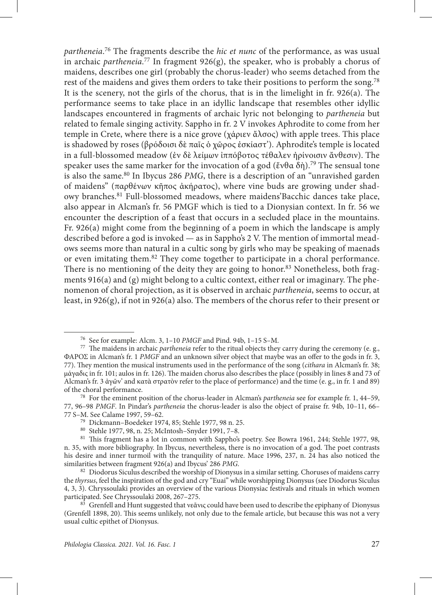*partheneia*. 76 The fragments describe the *hic et nunc* of the performance, as was usual in archaic *partheneia*. 77 In fragment 926(g), the speaker, who is probably a chorus of maidens, describes one girl (probably the chorus-leader) who seems detached from the rest of the maidens and gives them orders to take their positions to perform the song.<sup>78</sup> It is the scenery, not the girls of the chorus, that is in the limelight in fr. 926(a). The performance seems to take place in an idyllic landscape that resembles other idyllic landscapes encountered in fragments of archaic lyric not belonging to *partheneia* but related to female singing activity. Sappho in fr. 2 V invokes Aphrodite to come from her temple in Crete, where there is a nice grove (χάριεν ἄλσος) with apple trees. This place is shadowed by roses (βρόδοισι δὲ παῖς ὁ χῶρος ἐσκίαστ'). Aphrodite's temple is located in a full-blossomed meadow (ἐν δὲ λείμων ἰππόβοτος τέθαλεν ἠρίνοισιν ἄνθεσιν). The speaker uses the same marker for the invocation of a god (ἔνθα δὴ).<sup>79</sup> The sensual tone is also the same.<sup>80</sup> In Ibycus 286 *PMG*, there is a description of an "unravished garden" of maidens" (παρθένων κῆπος ἀκήρατος), where vine buds are growing under shadowy branches.81 Full-blossomed meadows, where maidens'Bacchic dances take place, also appear in Alcman's fr. 56 PMGF which is tied to a Dionysian context. In fr. 56 we encounter the description of a feast that occurs in a secluded place in the mountains. Fr. 926(a) might come from the beginning of a poem in which the landscape is amply described before a god is invoked — as in Sappho's 2 V. The mention of immortal meadows seems more than natural in a cultic song by girls who may be speaking of maenads or even imitating them.82 They come together to participate in a choral performance. There is no mentioning of the deity they are going to honor.<sup>83</sup> Nonetheless, both fragments  $916(a)$  and  $(g)$  might belong to a cultic context, either real or imaginary. The phenomenon of choral projection, as it is observed in archaic *partheneia*, seems to occur, at least, in  $926(g)$ , if not in  $926(a)$  also. The members of the chorus refer to their present or

<sup>76</sup> See for example: Alcm. 3, 1–10 *PMGF* and Pind. 94b, 1–15 S–M.

<sup>77</sup> The maidens in archaic *partheneia* refer to the ritual objects they carry during the ceremony (e. g., ΦΑΡΟΣ in Alcman's fr. 1 *PMGF* and an unknown silver object that maybe was an offer to the gods in fr. 3, 77). They mention the musical instruments used in the performance of the song (*cithara* in Alcman's fr. 38; μάγαδις in fr. 101; aulos in fr. 126). The maiden chorus also describes the place (possibly in lines 8 and 73 of Alcman's fr. 3 ἀγῶν' and κατὰ στρατὸν refer to the place of performance) and the time (e. g., in fr. 1 and 89) of the choral performance.

<sup>78</sup> For the eminent position of the chorus-leader in Alcman's *partheneia* see for example fr. 1, 44–59, 77, 96–98 *PMGF*. In Pindar's *partheneia* the chorus-leader is also the object of praise fr. 94b, 10–11, 66–

<sup>&</sup>lt;sup>79</sup> Dickmann–Boedeker 1974, 85; Stehle 1977, 98 n. 25.

<sup>80</sup> Stehle 1977, 98, n. 25; McIntosh–Snyder 1991, 7–8.

<sup>81</sup> This fragment has a lot in common with Sappho's poetry. See Bowra 1961, 244; Stehle 1977, 98, n. 35, with more bibliography. In Ibycus, nevertheless, there is no invocation of a god. The poet contrasts his desire and inner turmoil with the tranquility of nature. Mace 1996, 237, n. 24 has also noticed the similarities between fragment 926(a) and Ibycus' 286 *PMG*.

<sup>82</sup> Diodorus Siculus described the worship of Dionysus in a similar setting. Choruses of maidens carry the *thyrsus*, feel the inspiration of the god and cry "Euai" while worshipping Dionysus (see Diodorus Siculus 4, 3, 3). Chryssoulaki provides an overview of the various Dionysiac festivals and rituals in which women participated. See Chryssoulaki 2008, 267–275.

<sup>83</sup> Grenfell and Hunt suggested that νεᾶνις could have been used to describe the epiphany of Dionysus (Grenfell 1898, 20). This seems unlikely, not only due to the female article, but because this was not a very usual cultic epithet of Dionysus.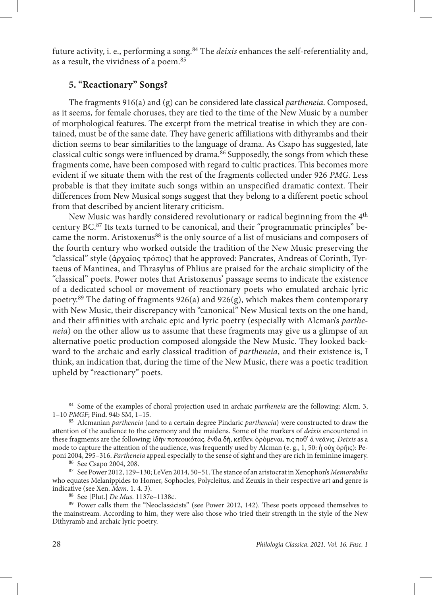future activity, i. e., performing a song.84 The *deixis* enhances the self-referentiality and, as a result, the vividness of a poem.85

### **5. ''Reactionary'' Songs?**

The fragments 916(a) and (g) can be considered late classical *partheneia*. Composed, as it seems, for female choruses, they are tied to the time of the New Music by a number of morphological features. The excerpt from the metrical treatise in which they are contained, must be of the same date. They have generic affiliations with dithyrambs and their diction seems to bear similarities to the language of drama. As Csapo has suggested, late classical cultic songs were influenced by drama.<sup>86</sup> Supposedly, the songs from which these fragments come, have been composed with regard to cultic practices. This becomes more evident if we situate them with the rest of the fragments collected under 926 *PMG*. Less probable is that they imitate such songs within an unspecified dramatic context. Their differences from New Musical songs suggest that they belong to a different poetic school from that described by ancient literary criticism.

New Music was hardly considered revolutionary or radical beginning from the 4th century BC.87 Its texts turned to be canonical, and their "programmatic principles" became the norm. Aristoxenus<sup>88</sup> is the only source of a list of musicians and composers of the fourth century who worked outside the tradition of the New Music preserving the "classical" style (ἀρχαῖος τρόπος) that he approved: Pancrates, Andreas of Corinth, Tyrtaeus of Mantinea, and Thrasylus of Phlius are praised for the archaic simplicity of the "classical" poets. Power notes that Aristoxenus' passage seems to indicate the existence of a dedicated school or movement of reactionary poets who emulated archaic lyric poetry.<sup>89</sup> The dating of fragments  $926(a)$  and  $926(g)$ , which makes them contemporary with New Music, their discrepancy with "canonical" New Musical texts on the one hand, and their affinities with archaic epic and lyric poetry (especially with Alcman's *partheneia*) on the other allow us to assume that these fragments may give us a glimpse of an alternative poetic production composed alongside the New Music. They looked backward to the archaic and early classical tradition of *partheneia*, and their existence is, I think, an indication that, during the time of the New Music, there was a poetic tradition upheld by "reactionary" poets.

<sup>84</sup> Some of the examples of choral projection used in archaic *partheneia* are the following: Alcm. 3, 1–10 *PMGF*; Pind. 94b SM, 1–15.

<sup>85</sup> Alcmanian *partheneia* (and to a certain degree Pindaric *partheneia*) were constructed to draw the attention of the audience to the ceremony and the maidens. Some of the markers of *deixis* encountered in these fragments are the following: ἰδῆν ποτεοικότας, ἔνθα δὴ, κεῖθεν, ὀρόμεναι, τις ποθ' ἁ νεᾶνις. *Deixis* as a mode to capture the attention of the audience, was frequently used by Alcman (e. g., 1, 50: ἦ οὐχ ὁρῆις): Peponi 2004, 295–316. *Partheneia* appeal especially to the sense of sight and they are rich in feminine imagery.

<sup>86</sup> See Csapo 2004, 208.

<sup>87</sup> See Power 2012, 129–130; LeVen 2014, 50–51. The stance of an aristocrat in Xenophon's *Memorabilia*  who equates Melanippides to Homer, Sophocles, Polycleitus, and Zeuxis in their respective art and genre is indicative (see Xen. *Mem.* 1. 4. 3).

<sup>88</sup> See [Plut.] *De Mus.* 1137e–1138c.

<sup>&</sup>lt;sup>89</sup> Power calls them the "Neoclassicists" (see Power 2012, 142). These poets opposed themselves to the mainstream. According to him, they were also those who tried their strength in the style of the New Dithyramb and archaic lyric poetry.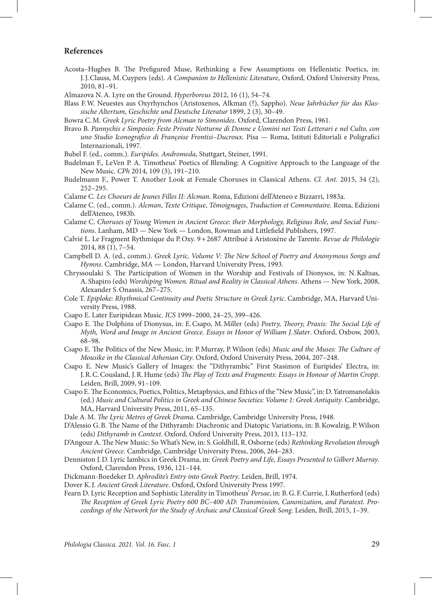#### **References**

- Acosta–Hughes B. The Prefigured Muse, Rethinking a Few Assumptions on Hellenistic Poetics, in: J.J.Clauss, M.Cuypers (eds). *A Companion to Hellenistic Literature*, Oxford, Oxford University Press, 2010, 81–91.
- Almazova N.A. Lyre on the Ground. *Hyperboreus* 2012, 16 (1), 54–74.
- Blass F.W. Neuestes aus Oxyrhynchos (Aristoxenos, Alkman (?), Sappho). *Neue Jahrbücher für das Klassische Altertum, Geschichte und Deutsche Literatur* 1899, 2 (3), 30–49.
- Bowra C.M. *Greek Lyric Poetry from Alcman to Simonides*. Oxford, Clarendon Press, 1961.
- Bravo B. *Pannychis e Simposio: Feste Private Notturne di Donne e Uomini nei Testi Letterari e nel Culto, con uno Studio Iconografico di Françoise Frontisi–Ducroux*. Pisa — Roma, Istituti Editoriali e Poligrafici Internazionali, 1997.
- Bubel F. (ed., comm.). *Euripides. Andromeda*, Stuttgart, Steiner, 1991.
- Budelman F., LeVen P. A. Timotheus' Poetics of Blending: A Cognitive Approach to the Language of the New Music. *CPh* 2014, 109 (3), 191–210.
- Budelmann F., Power T. Another Look at Female Choruses in Classical Athens. *Cl. Ant.* 2015, 34 (2), 252–295.
- Calame C. *Les Choeurs de Jeunes Filles II*: *Alcman*. Roma, Edizioni dell'Ateneo e Bizzarri, 1983a.
- Calame C. (ed., comm.). *Alcman*, *Texte Critique*, *Témoignages*, *Traduction et Commentaire*. Roma, Edizioni dell'Ateneo, 1983b.
- Calame C. *Choruses of Young Women in Ancient Greece: their Morphology, Religious Role, and Social Functions*. Lanham, MD — New York — London, Rowman and Littlefield Publishers, 1997.
- Calvié L. Le Fragment Rythmique du P.Oxy. 9+2687 Attribué à Aristoxène de Tarente. *Revue de Philologie* 2014, 88 (1), 7–54.
- Campbell D. A. (ed., comm.). *Greek Lyric, Volume V: The New School of Poetry and Anonymous Songs and Hymns*. Cambridge, MA — London, Harvard University Press, 1993.
- Chryssoulaki S. The Participation of Women in the Worship and Festivals of Dionysos, in: N.Kaltsas, A. Shapiro (eds) *Worshiping Women. Ritual and Reality in Classical Athens*. Athens — New York, 2008, Alexander S.Onassis, 267–275.
- Cole T. *Epiploke: Rhythmical Continuity and Poetic Structure in Greek Lyric*. Cambridge, MA, Harvard University Press, 1988.
- Csapo E. Later Euripidean Music. *ICS* 1999–2000, 24–25, 399–426.
- Csapo E. The Dolphins of Dionysus, in: E.Csapo, M.Miller (eds) *Poetry, Theory, Praxis: The Social Life of Myth, Word and Image in Ancient Greece. Essays in Honor of William J. Slater*. Oxford, Oxbow, 2003, 68–98.
- Csapo E. The Politics of the New Music, in: P.Murray, P.Wilson (eds) *Music and the Muses: The Culture of Mousike in the Classical Athenian City*. Oxford, Oxford University Press, 2004, 207–248.
- Csapo E. New Music's Gallery of Images: the ''Dithyrambic'' First Stasimon of Euripides' Electra, in: J.R.C.Cousland, J.R.Hume (eds) *The Play of Texts and Fragments: Essays in Honour of Martin Cropp*. Leiden, Brill, 2009, 91–109.
- Csapo E. The Economics, Poetics, Politics, Metaphysics, and Ethics of the ''New Music'', in: D.Yatromanolakis (ed.) *Music and Cultural Politics in Greek and Chinese Societies: Volume 1: Greek Antiquity*. Cambridge, MA, Harvard University Press, 2011, 65–135.
- Dale A.M. *The Lyric Metres of Greek Drama*. Cambridge, Cambridge University Press, 1948.
- D'Alessio G.B. The Name of the Dithyramb: Diachronic and Diatopic Variations, in: B.Kowalzig, P.Wilson (eds) *Dithyramb in Context*. Oxford, Oxford University Press, 2013, 113–132.
- D'Angour A. The New Music: So What's New, in: S.Goldhill, R.Osborne (eds) *Rethinking Revolution through Ancient Greece*. Cambridge, Cambridge University Press, 2006, 264–283.
- Denniston J.D. Lyric Iambics in Greek Drama, in: *Greek Poetry and Life, Essays Presented to Gilbert Murray*. Oxford, Clarendon Press, 1936, 121–144.
- Dickmann-Boedeker D. *Aphrodite's Entry into Greek Poetry*. Leiden, Brill, 1974.
- Dover K.J. *Ancient Greek Literature*. Oxford, Oxford University Press 1997.
- Fearn D. Lyric Reception and Sophistic Literality in Timotheus' *Persae*, in: B.G.F.Currie, I.Rutherford (eds) *The Reception of Greek Lyric Poetry 600 BC–400 AD: Transmission, Canonization, and Paratext. Proceedings of the Network for the Study of Archaic and Classical Greek Song*. Leiden, Brill, 2015, 1–39.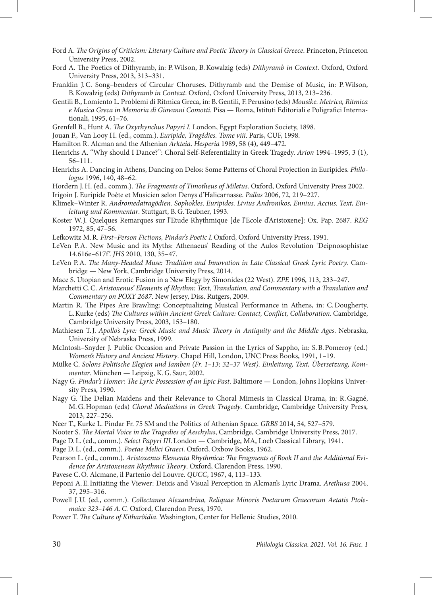- Ford A. *The Origins of Criticism: Literary Culture and Poetic Theory in Classical Greece*. Princeton, Princeton University Press, 2002.
- Ford A. The Poetics of Dithyramb, in: P.Wilson, B.Kowalzig (eds) *Dithyramb in Context*. Oxford, Oxford University Press, 2013, 313–331.
- Franklin J.C. Song–benders of Circular Choruses. Dithyramb and the Demise of Music, in: P.Wilson, B.Kowalzig (eds) *Dithyramb in Context*. Oxford, Oxford University Press, 2013, 213–236.
- Gentili B., Lomiento L. Problemi di Ritmica Greca, in: B.Gentili, F.Perusino (eds) *Mousike. Metrica, Ritmica e Musica Greca in Memoria di Giovanni Comotti*. Pisa — Roma, Istituti Editoriali e Poligrafici Internationali, 1995, 61–76.
- Grenfell B., Hunt A. *The Oxyrhynchus Papyri I.* London, Egypt Exploration Society, 1898.
- Jouan F., Van Looy H. (ed., comm.). *Euripide, Tragédies. Tome viii*. Paris, CUF, 1998.
- Hamilton R. Alcman and the Athenian *Arkteia*. *Hesperia* 1989, 58 (4), 449–472.
- Henrichs A. ''Why should I Dance?'': Choral Self-Referentiality in Greek Tragedy. *Arion* 1994–1995, 3 (1), 56–111.
- Henrichs A. Dancing in Athens, Dancing on Delos: Some Patterns of Choral Projection in Euripides. *Philologus* 1996, 140, 48–62.
- Hordern J.H. (ed., comm.). *The Fragments of Timotheus of Miletus*. Oxford, Oxford University Press 2002.
- Irigoin J. Euripide Poète et Musicien selon Denys d'Halicarnasse. *Pallas* 2006, 72, 219–227.
- Klimek–Winter R. *Andromedatragödien. Sophokles, Euripides, Livius Andronikos, Ennius, Accius. Text, Einleitung und Kommentar*. Stuttgart, B.G.Teubner, 1993.
- Koster W.J. Quelques Remarques sur l'Etude Rhythmique [de l'Ecole d'Aristoxene]: Ox. Pap. 2687. *REG* 1972, 85, 47–56.
- Lefkowitz M.R. *First*–*Person Fictions, Pindar's Poetic I.*Oxford, Oxford University Press, 1991.
- LeVen P.A. New Music and its Myths: Athenaeus' Reading of the Aulos Revolution 'Deipnosophistae 14.616e–617f '. *JHS* 2010, 130, 35–47.
- LeVen P.A. *The Many-Headed Muse: Tradition and Innovation in Late Classical Greek Lyric Poetry*. Cambridge — New York, Cambridge University Press, 2014.
- Mace S. Utopian and Erotic Fusion in a New Elegy by Simonides (22 West). *ZPE* 1996, 113, 233–247.
- Marchetti C.C. *Aristoxenus' Elements of Rhythm: Text, Translation, and Commentary with a Translation and Commentary on POXY 2687*. New Jersey, Diss. Rutgers, 2009.
- Martin R. The Pipes Are Brawling: Conceptualizing Musical Performance in Athens, in: C.Dougherty, L.Kurke (eds) *The Cultures within Ancient Greek Culture: Contact, Conflict, Collaboration*. Cambridge, Cambridge University Press, 2003, 153–180.
- Mathiesen T.J. *Apollo's Lyre: Greek Music and Music Theory in Antiquity and the Middle Ages*. Nebraska, University of Nebraska Press, 1999.
- McIntosh–Snyder J. Public Occasion and Private Passion in the Lyrics of Sappho, in: S.B.Pomeroy (ed.) *Women's History and Ancient History*. Chapel Hill, London, UNC Press Books, 1991, 1–19.
- Mülke C. *Solons Politische Elegien und Iamben (Fr. 1–13; 32–37 West). Einleitung, Text, Übersetzung, Kommentar*. München — Leipzig, K.G. Saur, 2002.
- Nagy G. *Pindar's Homer: The Lyric Possession of an Epic Past*. Baltimore London, Johns Hopkins University Press, 1990.
- Nagy G. The Delian Maidens and their Relevance to Choral Mimesis in Classical Drama, in: R.Gagné, M.G.Hopman (eds) *Choral Mediations in Greek Tragedy*. Cambridge, Cambridge University Press, 2013, 227–256.
- Neer T., Kurke L. Pindar Fr. 75 SM and the Politics of Athenian Space. *GRBS* 2014, 54, 527–579.
- Nooter S. *The Mortal Voice in the Tragedies of Aeschylus*, Cambridge, Cambridge University Press, 2017.
- Page D.L. (ed., comm.). *Select Papyri III.*London Cambridge, MA, Loeb Classical Library, 1941.
- Page D.L. (ed., comm.). *Poetae Melici Graeci*. Oxford, Oxbow Books, 1962.
- Pearson L. (ed., comm.). *Aristoxenus Elementa Rhythmica: The Fragments of Book II and the Additional Evidence for Aristoxenean Rhythmic Theory*. Oxford, Clarendon Press, 1990.
- Pavese C.O. Alcmane, il Partenio del Louvre. *QUCC*, 1967, 4, 113–133.
- Peponi A.E.Initiating the Viewer: Deixis and Visual Perception in Alcman's Lyric Drama. *Arethusa* 2004, 37, 295–316.
- Powell J.U. (ed., comm.). *Collectanea Alexandrina, Reliquae Minoris Poetarum Graecorum Aetatis Ptolemaice 323–146 A.C.* Oxford, Clarendon Press, 1970.
- Power T. *The Culture of Kitharôidia*. Washington, Center for Hellenic Studies, 2010.